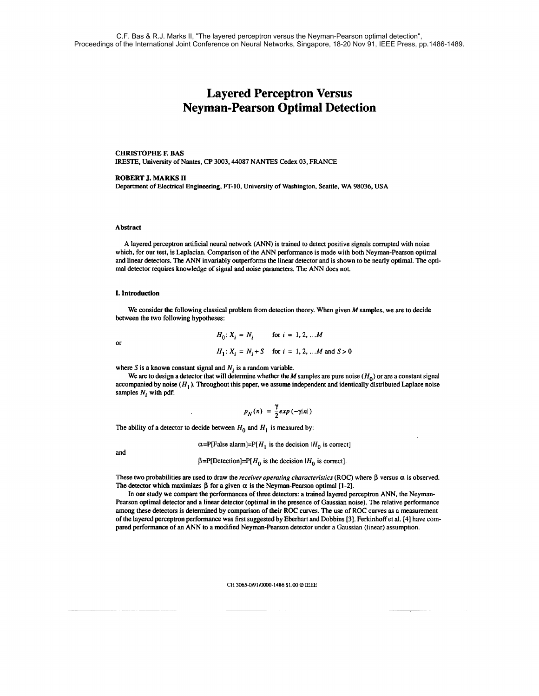# **Layered Perceptron Versus Neyman-Pearson Optimal Detection**

# CHRISTOPHE F. BAS

IRESTE, University of Nantes, CP 3003,44087 NANTES Cedex 03, FRANCE

# ROBERT J. MARKS **n**

Department of Electrical Engineering, FT-10, University of Washington, Seattle, WA 98036, USA

#### Abstract

A layered perceptron artificial neural network (ANN) is trained to detect positive signals corrupted with noise which, for our test, is Laplacian. Comparison of the ANN performance is made with both Neyman-Pearson optimal **and** linear detectors. The ANN invariably outperforms the linear detector and is shown to be nearly optimal. The optimal detector requires knowledge of signal and noise parameters. The ANN does not.

## I. Introduction

We consider the following classical problem from detection theory. When given M samples, we are to decide between the two following hypotheses:

or  
\n
$$
H_0: X_i = N_i \quad \text{for } i = 1, 2, ... M
$$
\n
$$
H_1: X_i = N_i + S \quad \text{for } i = 1, 2, ... M \text{ and } S > 0
$$

where S is a known constant signal and  $N_i$  is a random variable.

We are to design a detector that will determine whether the M samples are pure noise  $(H_0)$  or are a constant signal accompanied by noise  $(H_1)$ . Throughout this paper, we assume independent and identically distributed Laplace noise samples *N<sub>i</sub>* with pdf:

$$
p_N(n) = \frac{\gamma}{2} exp(-\gamma |n|)
$$

The ability of a detector to decide between  $H_0$  and  $H_1$  is measured by:

 $\alpha = P[False$  alarm]=P[H<sub>1</sub> is the decision IH<sub>0</sub> is correct]

and

 $\beta = P[\text{ Detection}] = P[H_0]$  is the decision  $[H_0]$  is correct].

These two probabilities are used to draw the *receiver operating characteristics* (ROC) where  $\beta$  versus  $\alpha$  is observed. The detector which maximizes  $\beta$  for a given  $\alpha$  is the Neyman-Pearson optimal [1-2].

In our study we compare the performances of three detectors: a trained layered perceptron ANN, the Neyman-Pearson optimal detector and a linear detector (optimal in the presence of Gaussian noise). The relative performance among these detectors is determined by comparison of their ROC curves. The use of ROC curves as a measurement of the layered perceptron performance was first suggested by Eberhart and Dobbins [3]. Ferkinhoff et al. [4] have compared performance of an ANN to a modified Neyman-Pearson detector under a Gaussian (linear) assumption.

#### CH 3065-0/91/0000-1486 \$1.00 © IEEE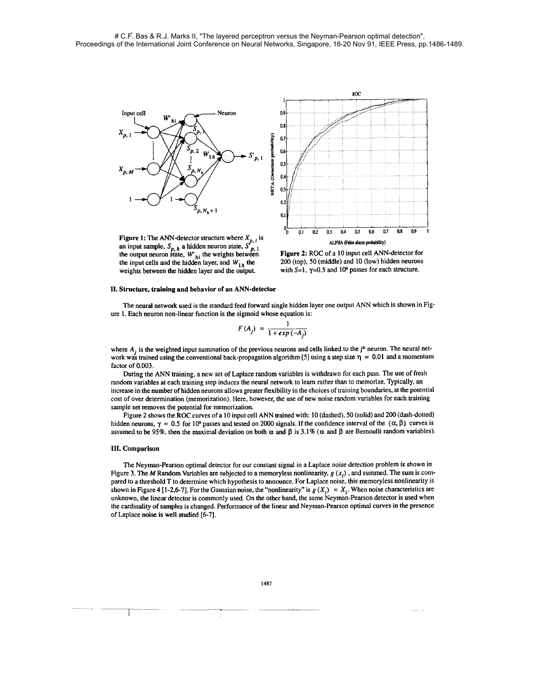

Figure 1: The ANN-detector structure where  $X_{p, i}$  is **Pigure 1:** The ANN-detector structure where  $X_{p, i}$  is an input sample,  $S_{p, h}$  a hidden neuron state,  $S'_{p, 1}$  the output neuron state,  $W_{h i}$  the weights between the input cells and the hidden layer, and  $W_{1h}$  the weights between the hidden layer and the output.



Figure 2: ROC of a *10* input cell ANN-detector for *200* (top), *50* (middle) and *10* (low) hidden neurons with *S=l, y=0.5* and *106* passes for each structure.

#### 11. Structure, training and behavior of an ANN-detector

The neural network used is the standard feed forward single hidden layer one output ANN which is shown in Figure *1.* Each neuron non-linear function is the sigmoid whose equation is:

$$
F(A_j) = \frac{1}{1 + exp(-A_j)}
$$

where  $A_j$  is the weighted input summation of the previous neurons and cells linked to the j<sup>th</sup> neuron. The neural network was trained using the conventional back-propagation algorithm [5] using a step size  $\eta = 0.01$  and a momentum factor of *0.003.* 

During the ANN training, a new set of Laplace random variables is withdrawn for each pass. The use of fresh random variables at each training step induces the neural network to learn rather than to memorize. Typically, an increase in the number of hidden neurons allows greater flexibility in the choices of training boundaries, at the potential cost of over determination (memorization). Here, however, the use of new noise random variables for each training sample set removes the potential for memorization.

Figure *2* shows the ROC curves of a *10* input cell ANN trained with: 10 (dashed), *50* (solid) and *200* (dash-dotted) hidden neurons,  $\gamma = 0.5$  for 10<sup>6</sup> passes and tested on 2000 signals. If the confidence interval of the  $(\alpha, \beta)$  curves is assumed to be 95%, then the maximal deviation on both  $\alpha$  and  $\beta$  is 3.1% ( $\alpha$  and  $\beta$  are Bernoulli random variables).

## 111. Comparison

The Neyman-Pearson optimal detector for our constant signal in a Laplace noise detection problem is shown in Figure 3. The M Random Variables are subjected to a memoryless nonlinearity,  $g(x_i)$ , and summed. The sum is compared to a threshold T to determine which hypothesis to announce. For Laplace noise, this memoryless nonlinearity is shown in Figure 4 [1-2,6-7]. For the Gaussian noise, the "nonlinearity" is  $g(X_i) = X_i$ . When noise characteristics are unknown, the linear detector is commonly used. On the other hand, the same Neyman-Pearson detector is used when the cardinality of samples is changed. Performance of the linear and Neyman-Pearson optimal curves in the presence of Laplace noise is well studied *[6-71.* 

j.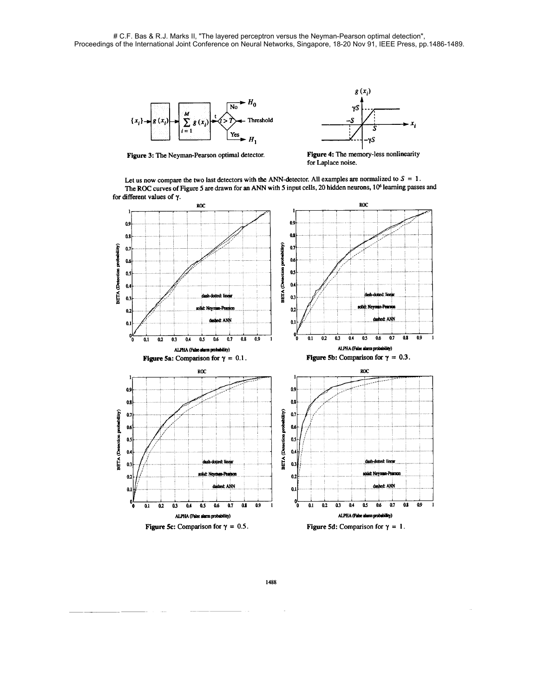



**Figure 3: The Neyman-Pearson optimal detector. Figure 4: The memory-less nonlinearity for Laplace noise.** 

Let us now compare the two last detectors with the ANN-detector. All examples are normalized to  $S = 1$ . **The ROC curves of Figure 5 are drawn for an ANN with 5 input cells, 20 hidden neurons, 106 learning passes and for different values of y.**